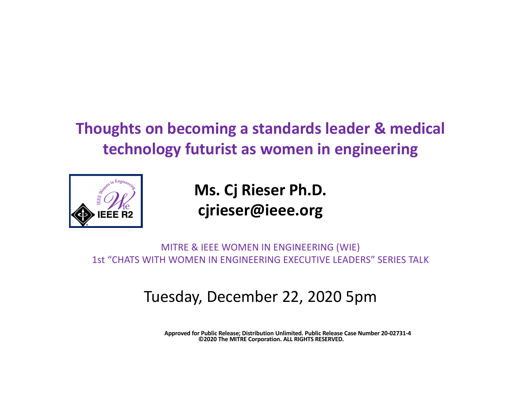

**Ms. Cj Rieser Ph.D. cjrieser@ieee.org**

MITRE & IEEE WOMEN IN ENGINEERING (WIE) 1st "CHATS WITH WOMEN IN ENGINEERING EXECUTIVE LEADERS" SERIES TALK

### Tuesday, December 22, 2020 5pm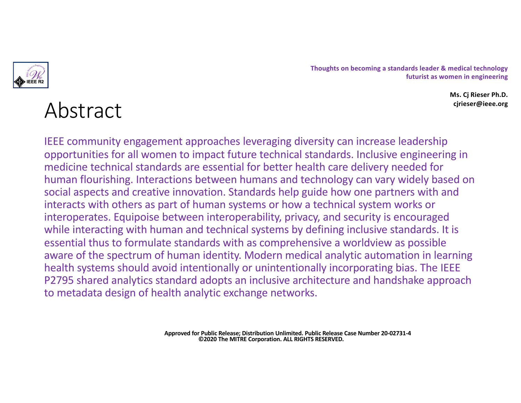

> **Ms. Cj Rieser Ph.D. cjrieser@ieee.org**

# Abstract

IEEE community engagement approaches leveraging diversity can increase leadership opportunities for all women to impact future technical standards. Inclusive engineering in medicine technical standards are essential for better health care delivery needed for human flourishing. Interactions between humans and technology can vary widely based on social aspects and creative innovation. Standards help guide how one partners with and interacts with others as part of human systems or how a technical system works or interoperates. Equipoise between interoperability, privacy, and security is encouraged while interacting with human and technical systems by defining inclusive standards. It is essential thus to formulate standards with as comprehensive a worldview as possible aware of the spectrum of human identity. Modern medical analytic automation in learning health systems should avoid intentionally or unintentionally incorporating bias. The IEEE P2795 shared analytics standard adopts an inclusive architecture and handshake approach to metadata design of health analytic exchange networks.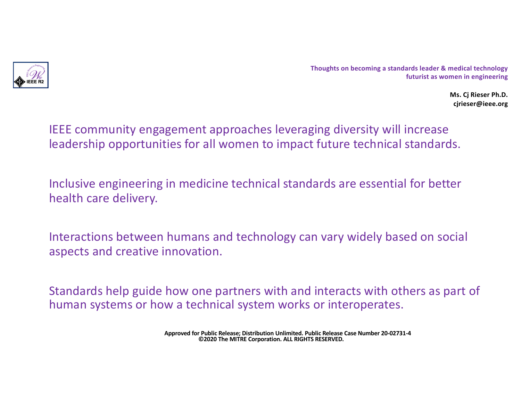

> **Ms. Cj Rieser Ph.D. cjrieser@ieee.org**

IEEE community engagement approaches leveraging diversity will increase leadership opportunities for all women to impact future technical standards.

Inclusive engineering in medicine technical standards are essential for better health care delivery.

Interactions between humans and technology can vary widely based on social aspects and creative innovation.

Standards help guide how one partners with and interacts with others as part of human systems or how a technical system works or interoperates.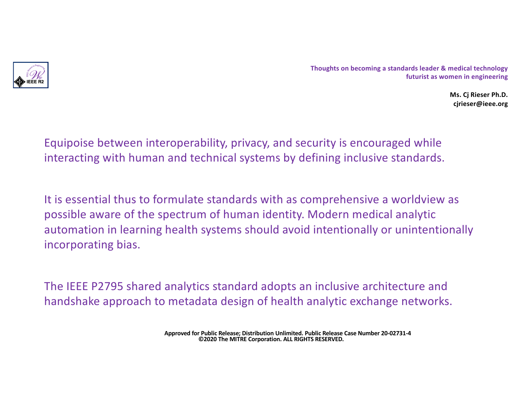

> **Ms. Cj Rieser Ph.D. cjrieser@ieee.org**

Equipoise between interoperability, privacy, and security is encouraged while interacting with human and technical systems by defining inclusive standards.

It is essential thus to formulate standards with as comprehensive a worldview as possible aware of the spectrum of human identity. Modern medical analytic automation in learning health systems should avoid intentionally or unintentionally incorporating bias.

The IEEE P2795 shared analytics standard adopts an inclusive architecture and handshake approach to metadata design of health analytic exchange networks.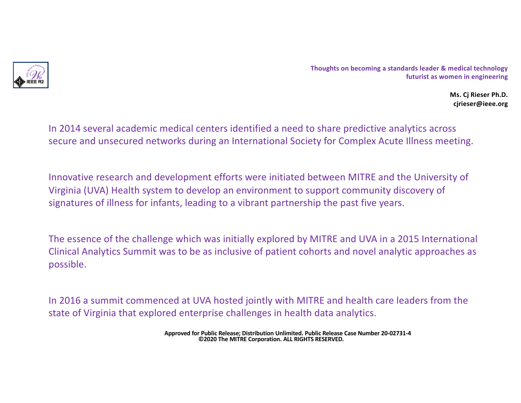

> **Ms. Cj Rieser Ph.D. cjrieser@ieee.org**

In 2014 several academic medical centers identified a need to share predictive analytics across secure and unsecured networks during an International Society for Complex Acute Illness meeting.

Innovative research and development efforts were initiated between MITRE and the University of Virginia (UVA) Health system to develop an environment to support community discovery of signatures of illness for infants, leading to a vibrant partnership the past five years.

The essence of the challenge which was initially explored by MITRE and UVA in a 2015 International Clinical Analytics Summit was to be as inclusive of patient cohorts and novel analytic approaches as possible.

In 2016 a summit commenced at UVA hosted jointly with MITRE and health care leaders from the state of Virginia that explored enterprise challenges in health data analytics.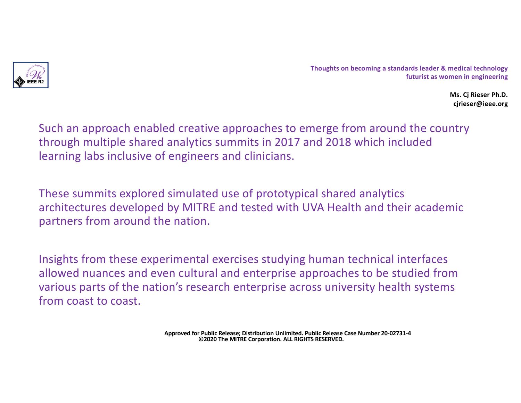

> **Ms. Cj Rieser Ph.D. cjrieser@ieee.org**

Such an approach enabled creative approaches to emerge from around the country through multiple shared analytics summits in 2017 and 2018 which included learning labs inclusive of engineers and clinicians.

These summits explored simulated use of prototypical shared analytics architectures developed by MITRE and tested with UVA Health and their academic partners from around the nation.

Insights from these experimental exercises studying human technical interfaces allowed nuances and even cultural and enterprise approaches to be studied from various parts of the nation's research enterprise across university health systems from coast to coast.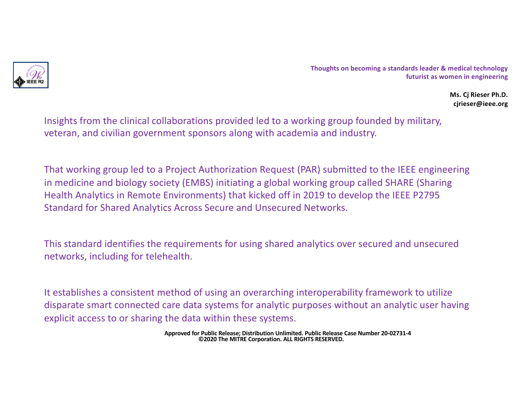

> **Ms. Cj Rieser Ph.D. cjrieser@ieee.org**

Insights from the clinical collaborations provided led to a working group founded by military, veteran, and civilian government sponsors along with academia and industry.

That working group led to a Project Authorization Request (PAR) submitted to the IEEE engineering in medicine and biology society (EMBS) initiating a global working group called SHARE (Sharing Health Analytics in Remote Environments) that kicked off in 2019 to develop the IEEE P2795 Standard for Shared Analytics Across Secure and Unsecured Networks.

This standard identifies the requirements for using shared analytics over secured and unsecured networks, including for telehealth.

It establishes a consistent method of using an overarching interoperability framework to utilize disparate smart connected care data systems for analytic purposes without an analytic user having explicit access to or sharing the data within these systems.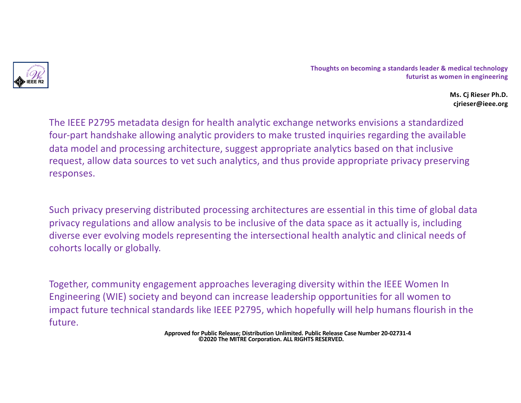

> **Ms. Cj Rieser Ph.D. cjrieser@ieee.org**

The IEEE P2795 metadata design for health analytic exchange networks envisions a standardized four-part handshake allowing analytic providers to make trusted inquiries regarding the available data model and processing architecture, suggest appropriate analytics based on that inclusive request, allow data sources to vet such analytics, and thus provide appropriate privacy preserving responses.

Such privacy preserving distributed processing architectures are essential in this time of global data privacy regulations and allow analysis to be inclusive of the data space as it actually is, including diverse ever evolving models representing the intersectional health analytic and clinical needs of cohorts locally or globally.

Together, community engagement approaches leveraging diversity within the IEEE Women In Engineering (WIE) society and beyond can increase leadership opportunities for all women to impact future technical standards like IEEE P2795, which hopefully will help humans flourish in the future.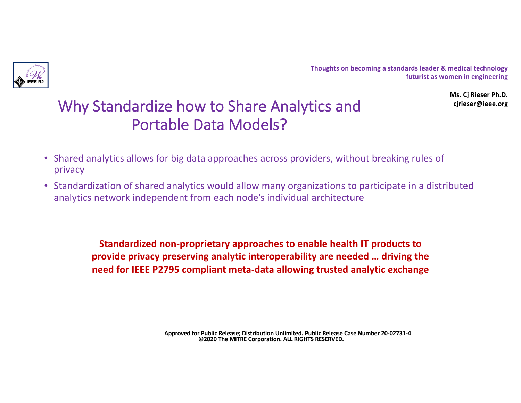

> **Ms. Cj Rieser Ph.D. cjrieser@ieee.org**

## Why Standardize how to Share Analytics and Portable Data Models?

- Shared analytics allows for big data approaches across providers, without breaking rules of privacy
- Standardization of shared analytics would allow many organizations to participate in a distributed analytics network independent from each node's individual architecture

**Standardized non-proprietary approaches to enable health IT products to provide privacy preserving analytic interoperability are needed … driving the need for IEEE P2795 compliant meta-data allowing trusted analytic exchange**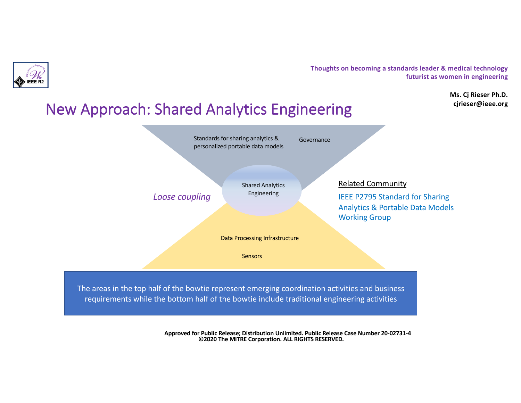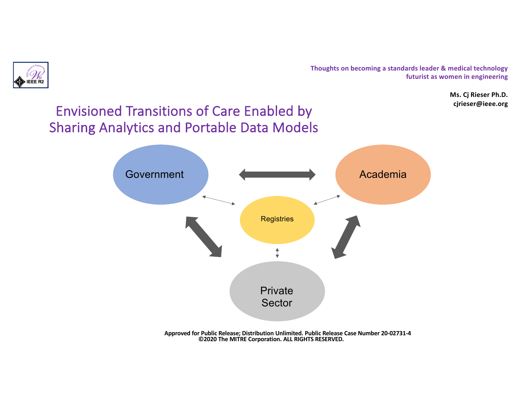

**Ms. Cj Rieser Ph.D. cjrieser@ieee.org**

### Envisioned Transitions of Care Enabled by Sharing Analytics and Portable Data Models

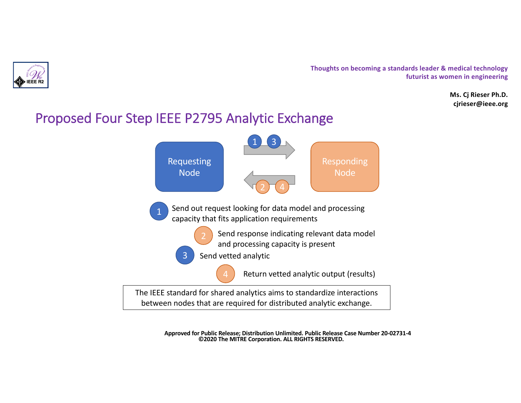

**Ms. Cj Rieser Ph.D. cjrieser@ieee.org**

### Proposed Four Step IEEE P2795 Analytic Exchange

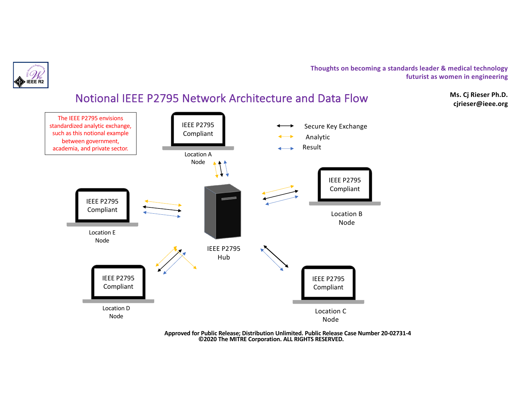



**Approved for Public Release; Distribution Unlimited. Public Release Case Number 20-02731-4 ©2020 The MITRE Corporation. ALL RIGHTS RESERVED.**

**Ms. Cj Rieser Ph.D. cjrieser@ieee.org**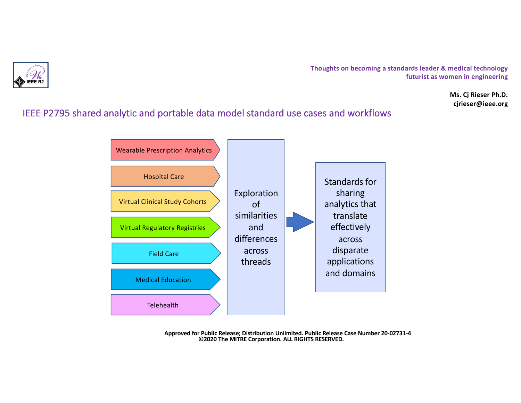

**Ms. Cj Rieser Ph.D. cjrieser@ieee.org**

#### IEEE P2795 shared analytic and portable data model standard use cases and workflows